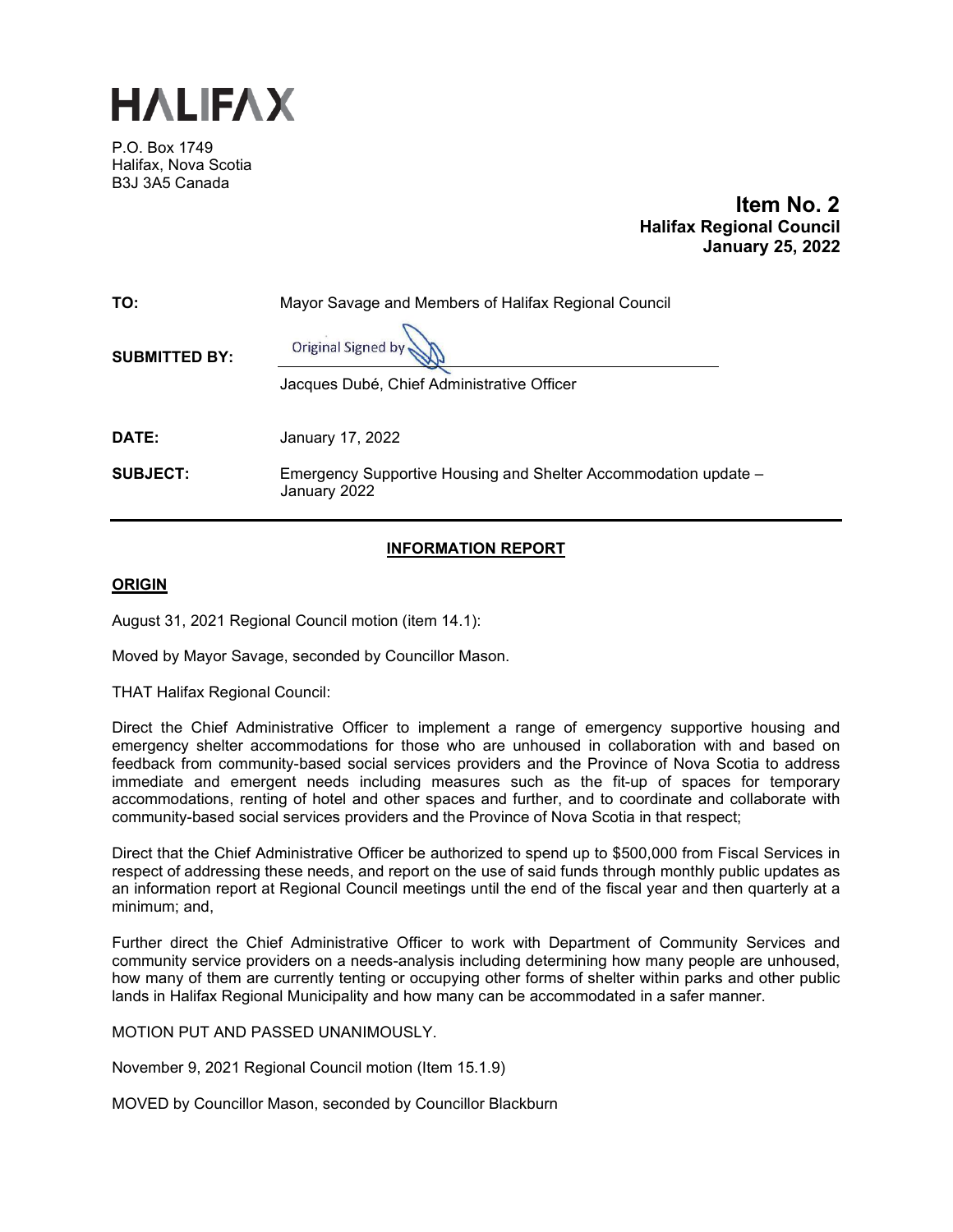

P.O. Box 1749 Halifax, Nova Scotia B3J 3A5 Canada

 **Item No. 2 Halifax Regional Council January 25, 2022** 

| TO:                  | Mayor Savage and Members of Halifax Regional Council                            |
|----------------------|---------------------------------------------------------------------------------|
| <b>SUBMITTED BY:</b> | Original Signed by                                                              |
|                      | Jacques Dubé, Chief Administrative Officer                                      |
|                      |                                                                                 |
| <b>DATE:</b>         | January 17, 2022                                                                |
| <b>SUBJECT:</b>      | Emergency Supportive Housing and Shelter Accommodation update -<br>January 2022 |

# **INFORMATION REPORT**

## **ORIGIN**

August 31, 2021 Regional Council motion (item 14.1):

Moved by Mayor Savage, seconded by Councillor Mason.

THAT Halifax Regional Council:

Direct the Chief Administrative Officer to implement a range of emergency supportive housing and emergency shelter accommodations for those who are unhoused in collaboration with and based on feedback from community-based social services providers and the Province of Nova Scotia to address immediate and emergent needs including measures such as the fit-up of spaces for temporary accommodations, renting of hotel and other spaces and further, and to coordinate and collaborate with community-based social services providers and the Province of Nova Scotia in that respect;

Direct that the Chief Administrative Officer be authorized to spend up to \$500,000 from Fiscal Services in respect of addressing these needs, and report on the use of said funds through monthly public updates as an information report at Regional Council meetings until the end of the fiscal year and then quarterly at a minimum; and,

Further direct the Chief Administrative Officer to work with Department of Community Services and community service providers on a needs-analysis including determining how many people are unhoused, how many of them are currently tenting or occupying other forms of shelter within parks and other public lands in Halifax Regional Municipality and how many can be accommodated in a safer manner.

MOTION PUT AND PASSED UNANIMOUSLY.

November 9, 2021 Regional Council motion (Item 15.1.9)

MOVED by Councillor Mason, seconded by Councillor Blackburn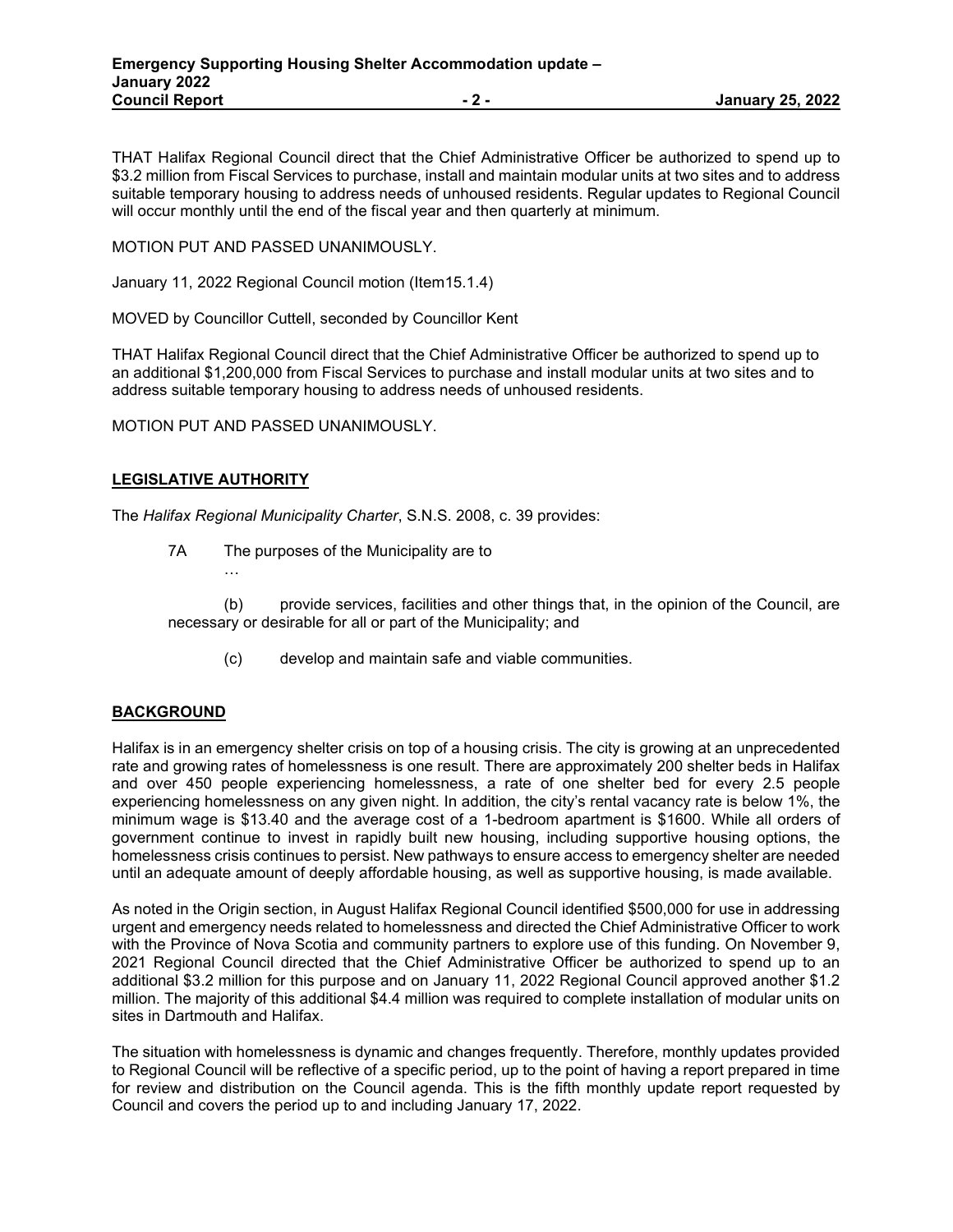THAT Halifax Regional Council direct that the Chief Administrative Officer be authorized to spend up to \$3.2 million from Fiscal Services to purchase, install and maintain modular units at two sites and to address suitable temporary housing to address needs of unhoused residents. Regular updates to Regional Council will occur monthly until the end of the fiscal year and then quarterly at minimum.

MOTION PUT AND PASSED UNANIMOUSLY.

January 11, 2022 Regional Council motion (Item15.1.4)

MOVED by Councillor Cuttell, seconded by Councillor Kent

THAT Halifax Regional Council direct that the Chief Administrative Officer be authorized to spend up to an additional \$1,200,000 from Fiscal Services to purchase and install modular units at two sites and to address suitable temporary housing to address needs of unhoused residents.

MOTION PUT AND PASSED UNANIMOUSLY.

## **LEGISLATIVE AUTHORITY**

…

The *Halifax Regional Municipality Charter*, S.N.S. 2008, c. 39 provides:

7A The purposes of the Municipality are to

(b) provide services, facilities and other things that, in the opinion of the Council, are necessary or desirable for all or part of the Municipality; and

(c) develop and maintain safe and viable communities.

### **BACKGROUND**

Halifax is in an emergency shelter crisis on top of a housing crisis. The city is growing at an unprecedented rate and growing rates of homelessness is one result. There are approximately 200 shelter beds in Halifax and over 450 people experiencing homelessness, a rate of one shelter bed for every 2.5 people experiencing homelessness on any given night. In addition, the city's rental vacancy rate is below 1%, the minimum wage is \$13.40 and the average cost of a 1-bedroom apartment is \$1600. While all orders of government continue to invest in rapidly built new housing, including supportive housing options, the homelessness crisis continues to persist. New pathways to ensure access to emergency shelter are needed until an adequate amount of deeply affordable housing, as well as supportive housing, is made available.

As noted in the Origin section, in August Halifax Regional Council identified \$500,000 for use in addressing urgent and emergency needs related to homelessness and directed the Chief Administrative Officer to work with the Province of Nova Scotia and community partners to explore use of this funding. On November 9, 2021 Regional Council directed that the Chief Administrative Officer be authorized to spend up to an additional \$3.2 million for this purpose and on January 11, 2022 Regional Council approved another \$1.2 million. The majority of this additional \$4.4 million was required to complete installation of modular units on sites in Dartmouth and Halifax.

The situation with homelessness is dynamic and changes frequently. Therefore, monthly updates provided to Regional Council will be reflective of a specific period, up to the point of having a report prepared in time for review and distribution on the Council agenda. This is the fifth monthly update report requested by Council and covers the period up to and including January 17, 2022.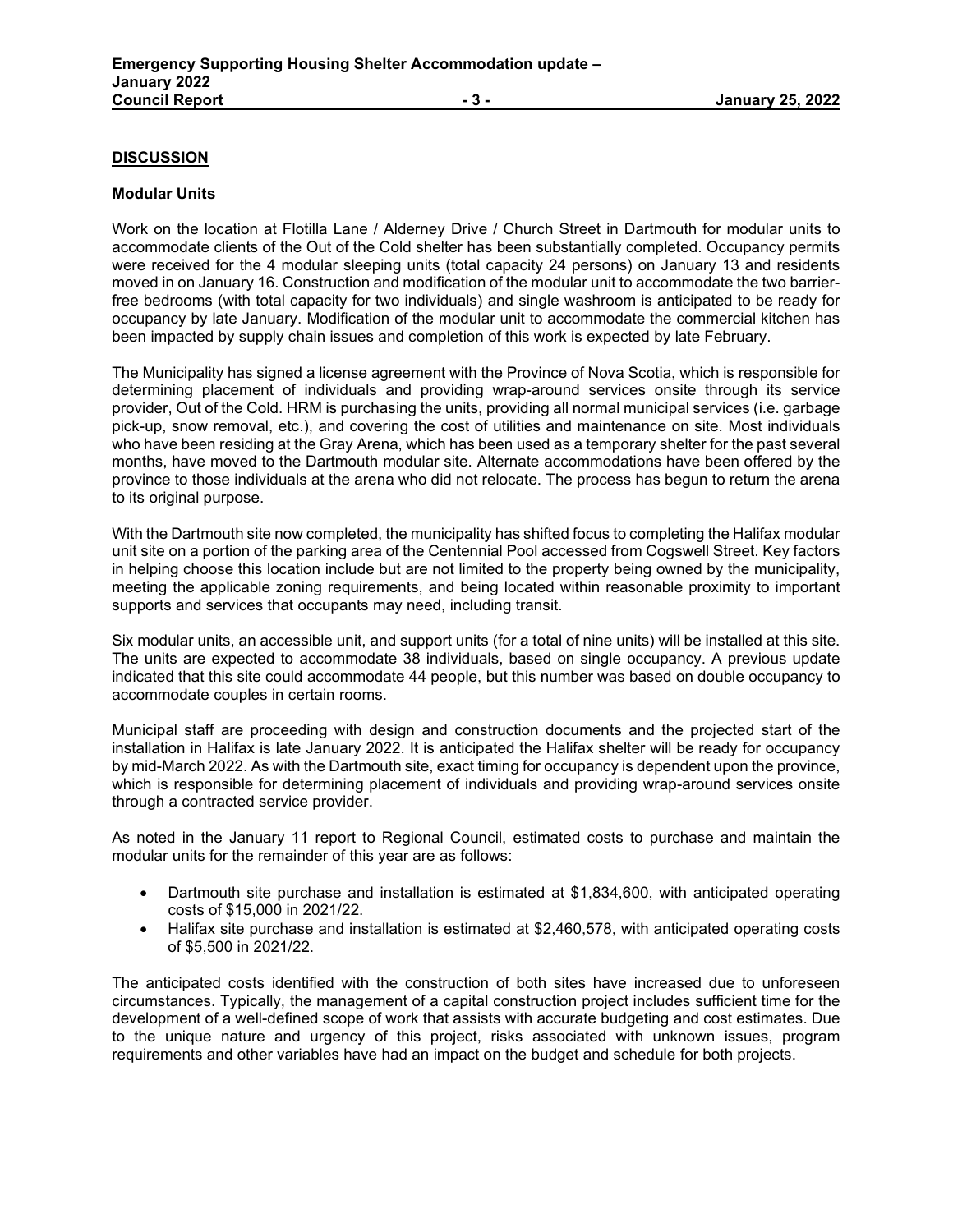### **DISCUSSION**

#### **Modular Units**

Work on the location at Flotilla Lane / Alderney Drive / Church Street in Dartmouth for modular units to accommodate clients of the Out of the Cold shelter has been substantially completed. Occupancy permits were received for the 4 modular sleeping units (total capacity 24 persons) on January 13 and residents moved in on January 16. Construction and modification of the modular unit to accommodate the two barrierfree bedrooms (with total capacity for two individuals) and single washroom is anticipated to be ready for occupancy by late January. Modification of the modular unit to accommodate the commercial kitchen has been impacted by supply chain issues and completion of this work is expected by late February.

The Municipality has signed a license agreement with the Province of Nova Scotia, which is responsible for determining placement of individuals and providing wrap-around services onsite through its service provider, Out of the Cold. HRM is purchasing the units, providing all normal municipal services (i.e. garbage pick-up, snow removal, etc.), and covering the cost of utilities and maintenance on site. Most individuals who have been residing at the Gray Arena, which has been used as a temporary shelter for the past several months, have moved to the Dartmouth modular site. Alternate accommodations have been offered by the province to those individuals at the arena who did not relocate. The process has begun to return the arena to its original purpose.

With the Dartmouth site now completed, the municipality has shifted focus to completing the Halifax modular unit site on a portion of the parking area of the Centennial Pool accessed from Cogswell Street. Key factors in helping choose this location include but are not limited to the property being owned by the municipality, meeting the applicable zoning requirements, and being located within reasonable proximity to important supports and services that occupants may need, including transit.

Six modular units, an accessible unit, and support units (for a total of nine units) will be installed at this site. The units are expected to accommodate 38 individuals, based on single occupancy. A previous update indicated that this site could accommodate 44 people, but this number was based on double occupancy to accommodate couples in certain rooms.

Municipal staff are proceeding with design and construction documents and the projected start of the installation in Halifax is late January 2022. It is anticipated the Halifax shelter will be ready for occupancy by mid-March 2022. As with the Dartmouth site, exact timing for occupancy is dependent upon the province, which is responsible for determining placement of individuals and providing wrap-around services onsite through a contracted service provider.

As noted in the January 11 report to Regional Council, estimated costs to purchase and maintain the modular units for the remainder of this year are as follows:

- Dartmouth site purchase and installation is estimated at \$1,834,600, with anticipated operating costs of \$15,000 in 2021/22.
- Halifax site purchase and installation is estimated at \$2,460,578, with anticipated operating costs of \$5,500 in 2021/22.

The anticipated costs identified with the construction of both sites have increased due to unforeseen circumstances. Typically, the management of a capital construction project includes sufficient time for the development of a well-defined scope of work that assists with accurate budgeting and cost estimates. Due to the unique nature and urgency of this project, risks associated with unknown issues, program requirements and other variables have had an impact on the budget and schedule for both projects.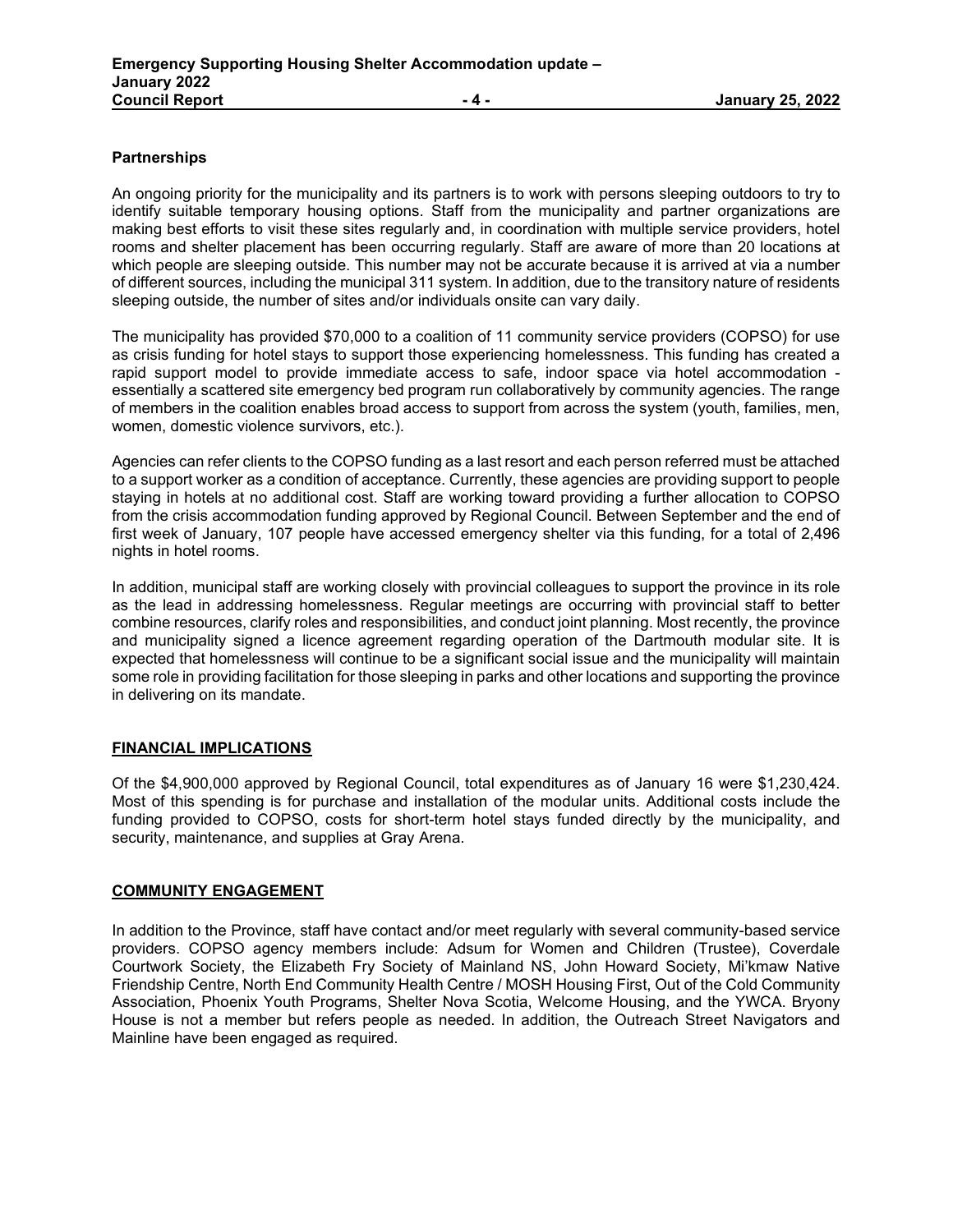## **Partnerships**

An ongoing priority for the municipality and its partners is to work with persons sleeping outdoors to try to identify suitable temporary housing options. Staff from the municipality and partner organizations are making best efforts to visit these sites regularly and, in coordination with multiple service providers, hotel rooms and shelter placement has been occurring regularly. Staff are aware of more than 20 locations at which people are sleeping outside. This number may not be accurate because it is arrived at via a number of different sources, including the municipal 311 system. In addition, due to the transitory nature of residents sleeping outside, the number of sites and/or individuals onsite can vary daily.

The municipality has provided \$70,000 to a coalition of 11 community service providers (COPSO) for use as crisis funding for hotel stays to support those experiencing homelessness. This funding has created a rapid support model to provide immediate access to safe, indoor space via hotel accommodation essentially a scattered site emergency bed program run collaboratively by community agencies. The range of members in the coalition enables broad access to support from across the system (youth, families, men, women, domestic violence survivors, etc.).

Agencies can refer clients to the COPSO funding as a last resort and each person referred must be attached to a support worker as a condition of acceptance. Currently, these agencies are providing support to people staying in hotels at no additional cost. Staff are working toward providing a further allocation to COPSO from the crisis accommodation funding approved by Regional Council. Between September and the end of first week of January, 107 people have accessed emergency shelter via this funding, for a total of 2,496 nights in hotel rooms.

In addition, municipal staff are working closely with provincial colleagues to support the province in its role as the lead in addressing homelessness. Regular meetings are occurring with provincial staff to better combine resources, clarify roles and responsibilities, and conduct joint planning. Most recently, the province and municipality signed a licence agreement regarding operation of the Dartmouth modular site. It is expected that homelessness will continue to be a significant social issue and the municipality will maintain some role in providing facilitation for those sleeping in parks and other locations and supporting the province in delivering on its mandate.

# **FINANCIAL IMPLICATIONS**

Of the \$4,900,000 approved by Regional Council, total expenditures as of January 16 were \$1,230,424. Most of this spending is for purchase and installation of the modular units. Additional costs include the funding provided to COPSO, costs for short-term hotel stays funded directly by the municipality, and security, maintenance, and supplies at Gray Arena.

### **COMMUNITY ENGAGEMENT**

In addition to the Province, staff have contact and/or meet regularly with several community-based service providers. COPSO agency members include: Adsum for Women and Children (Trustee), Coverdale Courtwork Society, the Elizabeth Fry Society of Mainland NS, John Howard Society, Mi'kmaw Native Friendship Centre, North End Community Health Centre / MOSH Housing First, Out of the Cold Community Association, Phoenix Youth Programs, Shelter Nova Scotia, Welcome Housing, and the YWCA. Bryony House is not a member but refers people as needed. In addition, the Outreach Street Navigators and Mainline have been engaged as required.